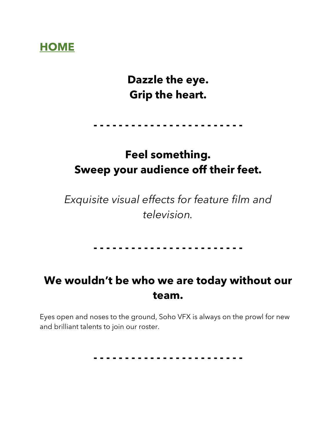# **HOME**

# **Dazzle the eye. Grip the heart.**

**- - - - - - - - - - - - - - - - - - - - - - - -**

# **Feel something. Sweep your audience off their feet.**

*Exquisite visual effects for feature film and television.*

#### **- - - - - - - - - - - - - - - - - - - - - - - -**

# **We wouldn't be who we are today without our team.**

Eyes open and noses to the ground, Soho VFX is always on the prowl for new and brilliant talents to join our roster.

**- - - - - - - - - - - - - - - - - - - - - - - -**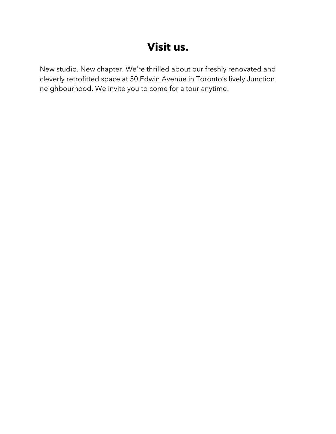# **Visit us.**

New studio. New chapter. We're thrilled about our freshly renovated and cleverly retrofitted space at 50 Edwin Avenue in Toronto's lively Junction neighbourhood. We invite you to come for a tour anytime!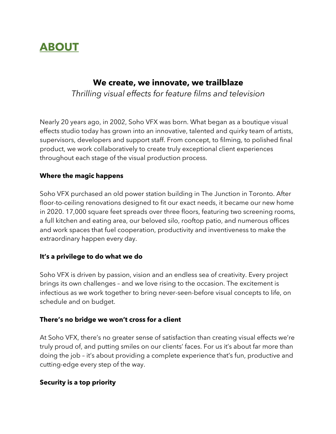

### **We create, we innovate, we trailblaze**  *Thrilling visual effects for feature films and television*

Nearly 20 years ago, in 2002, Soho VFX was born. What began as a boutique visual effects studio today has grown into an innovative, talented and quirky team of artists, supervisors, developers and support staff. From concept, to filming, to polished final product, we work collaboratively to create truly exceptional client experiences throughout each stage of the visual production process.

#### **Where the magic happens**

Soho VFX purchased an old power station building in The Junction in Toronto. After floor-to-ceiling renovations designed to fit our exact needs, it became our new home in 2020. 17,000 square feet spreads over three floors, featuring two screening rooms, a full kitchen and eating area, our beloved silo, rooftop patio, and numerous offices and work spaces that fuel cooperation, productivity and inventiveness to make the extraordinary happen every day.

#### **It's a privilege to do what we do**

Soho VFX is driven by passion, vision and an endless sea of creativity. Every project brings its own challenges – and we love rising to the occasion. The excitement is infectious as we work together to bring never-seen-before visual concepts to life, on schedule and on budget.

#### **There's no bridge we won't cross for a client**

At Soho VFX, there's no greater sense of satisfaction than creating visual effects we're truly proud of, and putting smiles on our clients' faces. For us it's about far more than doing the job – it's about providing a complete experience that's fun, productive and cutting-edge every step of the way.

#### **Security is a top priority**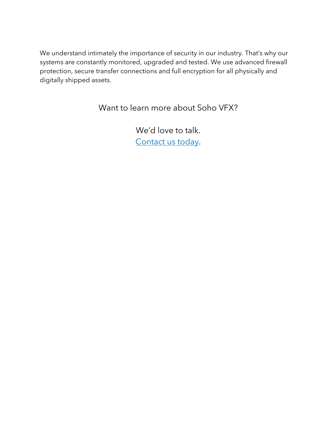We understand intimately the importance of security in our industry. That's why our systems are constantly monitored, upgraded and tested. We use advanced firewall protection, secure transfer connections and full encryption for all physically and digitally shipped assets.

Want to learn more about Soho VFX?

We'd love to talk. Contact us today.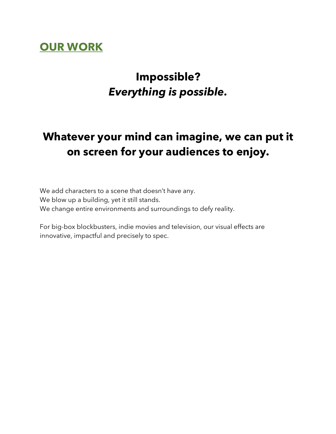## **OUR WORK**

# **Impossible?**  *Everything is possible.*

# **Whatever your mind can imagine, we can put it on screen for your audiences to enjoy.**

We add characters to a scene that doesn't have any. We blow up a building, yet it still stands. We change entire environments and surroundings to defy reality.

For big-box blockbusters, indie movies and television, our visual effects are innovative, impactful and precisely to spec.